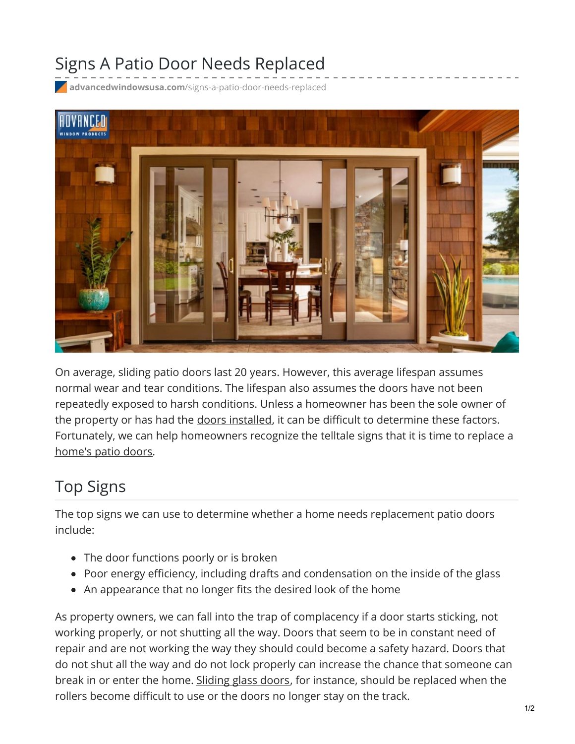## Signs A Patio Door Needs Replaced

**advancedwindowsusa.com**[/signs-a-patio-door-needs-replaced](https://advancedwindowsusa.com/signs-a-patio-door-needs-replaced)



On average, sliding patio doors last 20 years. However, this average lifespan assumes normal wear and tear conditions. The lifespan also assumes the doors have not been repeatedly exposed to harsh conditions. Unless a homeowner has been the sole owner of the property or has had the doors [installed](https://advancedwindowsusa.com/doors), it can be difficult to determine these factors. Fortunately, we can help homeowners recognize the telltale signs that it is time to replace a [home's](https://advancedwindowsusa.com/patio-doors-blinds-between-glass) patio doors.

## Top Signs

The top signs we can use to determine whether a home needs replacement patio doors include:

- The door functions poorly or is broken
- Poor energy efficiency, including drafts and condensation on the inside of the glass
- An appearance that no longer fits the desired look of the home

As property owners, we can fall into the trap of complacency if a door starts sticking, not working properly, or not shutting all the way. Doors that seem to be in constant need of repair and are not working the way they should could become a safety hazard. Doors that do not shut all the way and do not lock properly can increase the chance that someone can break in or enter the home. [Sliding](https://advancedwindowsusa.com/patriot-sliding-glass-door) glass doors, for instance, should be replaced when the rollers become difficult to use or the doors no longer stay on the track.